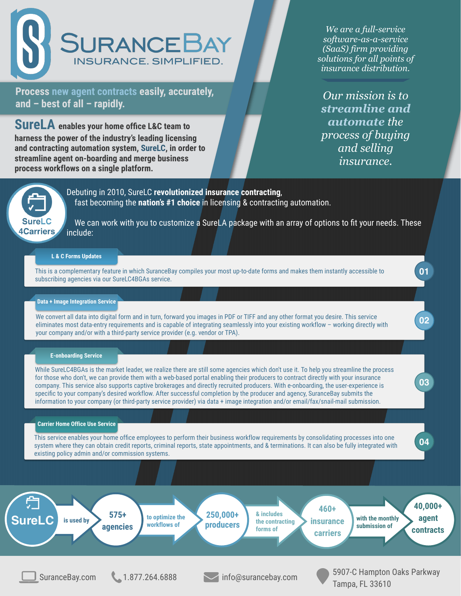SuranceBay.com 1.877.264.6888 info@surancebay.com 5907-C Hampton Oaks Parkway Tampa, FL 33610

*Our mission is to streamline and automate the process of buying and selling insurance.*



*We are a full-service software-as-a-service (SaaS) firm providing solutions for all points of insurance distribution.*

Debuting in 2010, SureLC **revolutionized insurance contracting**, fast becoming the **nation's #1 choice** in licensing & contracting automation.

We can work with you to customize a SureLA package with an array of options to fit your needs. These include:

**40,000+ agent contracts with the monthly submission of 460+ insurance carriers & includes the contracting forms of 250,000+ producers to optimize the workflows of 575+ is used by agencies** 宁 **SureLC**



**Process new agent contracts easily, accurately, and – best of all – rapidly.**

**SureLA enables your home office L&C team to harness the power of the industry's leading licensing and contracting automation system, SureLC, in order to streamline agent on-boarding and merge business process workflows on a single platform.** 

> This is a complementary feature in which SuranceBay compiles your most up-to-date forms and makes them instantly accessible to subscribing agencies via our SureLC4BGAs service.

## **L & C Forms Updates**

While SureLC4BGAs is the market leader, we realize there are still some agencies which don't use it. To help you streamline the process for those who don't, we can provide them with a web-based portal enabling their producers to contract directly with your insurance company. This service also supports captive brokerages and directly recruited producers. With e-onboarding, the user-experience is specific to your company's desired workflow. After successful completion by the producer and agency, SuranceBay submits the information to your company (or third-party service provider) via data + image integration and/or email/fax/snail-mail submission.

We convert all data into digital form and in turn, forward you images in PDF or TIFF and any other format you desire. This service eliminates most data-entry requirements and is capable of integrating seamlessly into your existing workflow – working directly with your company and/or with a third-party service provider (e.g. vendor or TPA).

This service enables your home office employees to perform their business workflow requirements by consolidating processes into one system where they can obtain credit reports, criminal reports, state appointments, and & terminations. It can also be fully integrated with existing policy admin and/or commission systems.

#### **E-onboarding Service**

#### **Carrier Home Office Use Service**

**02**

**03**

**04**

## **Data + Image Integration Service**